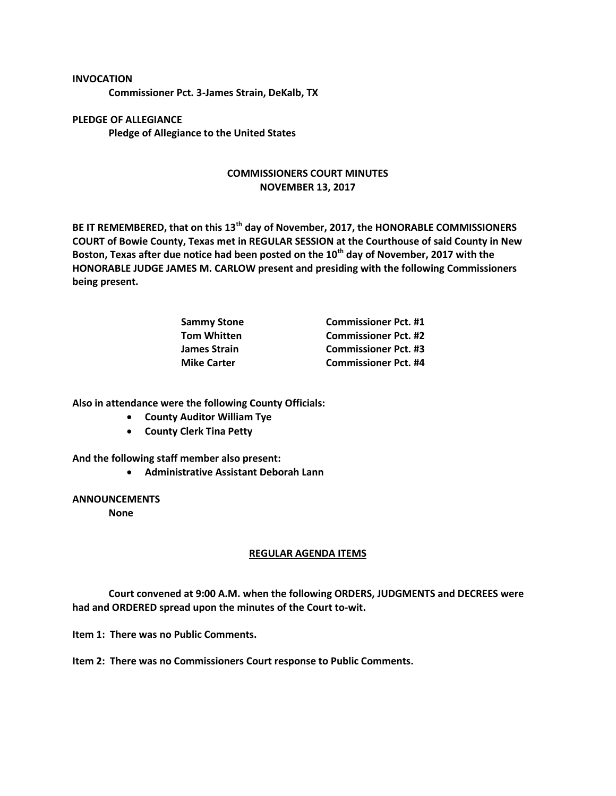## **INVOCATION**

**Commissioner Pct. 3-James Strain, DeKalb, TX**

**PLEDGE OF ALLEGIANCE Pledge of Allegiance to the United States**

## **COMMISSIONERS COURT MINUTES NOVEMBER 13, 2017**

**BE IT REMEMBERED, that on this 13th day of November, 2017, the HONORABLE COMMISSIONERS COURT of Bowie County, Texas met in REGULAR SESSION at the Courthouse of said County in New Boston, Texas after due notice had been posted on the 10th day of November, 2017 with the HONORABLE JUDGE JAMES M. CARLOW present and presiding with the following Commissioners being present.**

| <b>Commissioner Pct. #1</b> |
|-----------------------------|
| <b>Commissioner Pct. #2</b> |
| <b>Commissioner Pct. #3</b> |
| <b>Commissioner Pct. #4</b> |
|                             |

**Also in attendance were the following County Officials:**

- **County Auditor William Tye**
- **County Clerk Tina Petty**

**And the following staff member also present:**

**Administrative Assistant Deborah Lann**

**ANNOUNCEMENTS**

**None**

## **REGULAR AGENDA ITEMS**

**Court convened at 9:00 A.M. when the following ORDERS, JUDGMENTS and DECREES were had and ORDERED spread upon the minutes of the Court to-wit.**

**Item 1: There was no Public Comments.**

**Item 2: There was no Commissioners Court response to Public Comments.**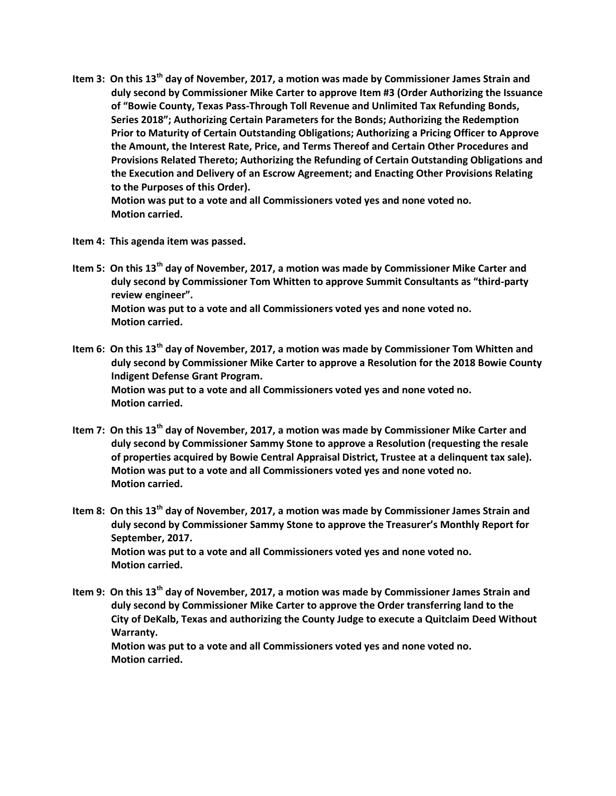**Item 3: On this 13th day of November, 2017, a motion was made by Commissioner James Strain and duly second by Commissioner Mike Carter to approve Item #3 (Order Authorizing the Issuance of "Bowie County, Texas Pass-Through Toll Revenue and Unlimited Tax Refunding Bonds, Series 2018"; Authorizing Certain Parameters for the Bonds; Authorizing the Redemption Prior to Maturity of Certain Outstanding Obligations; Authorizing a Pricing Officer to Approve the Amount, the Interest Rate, Price, and Terms Thereof and Certain Other Procedures and Provisions Related Thereto; Authorizing the Refunding of Certain Outstanding Obligations and the Execution and Delivery of an Escrow Agreement; and Enacting Other Provisions Relating to the Purposes of this Order).**

**Motion was put to a vote and all Commissioners voted yes and none voted no. Motion carried.**

- **Item 4: This agenda item was passed.**
- **Item 5: On this 13th day of November, 2017, a motion was made by Commissioner Mike Carter and duly second by Commissioner Tom Whitten to approve Summit Consultants as "third-party review engineer". Motion was put to a vote and all Commissioners voted yes and none voted no. Motion carried.**
- **Item 6: On this 13th day of November, 2017, a motion was made by Commissioner Tom Whitten and duly second by Commissioner Mike Carter to approve a Resolution for the 2018 Bowie County Indigent Defense Grant Program. Motion was put to a vote and all Commissioners voted yes and none voted no. Motion carried.**
- **Item 7: On this 13th day of November, 2017, a motion was made by Commissioner Mike Carter and duly second by Commissioner Sammy Stone to approve a Resolution (requesting the resale of properties acquired by Bowie Central Appraisal District, Trustee at a delinquent tax sale). Motion was put to a vote and all Commissioners voted yes and none voted no. Motion carried.**
- **Item 8: On this 13th day of November, 2017, a motion was made by Commissioner James Strain and duly second by Commissioner Sammy Stone to approve the Treasurer's Monthly Report for September, 2017. Motion was put to a vote and all Commissioners voted yes and none voted no. Motion carried.**
- **Item 9: On this 13th day of November, 2017, a motion was made by Commissioner James Strain and duly second by Commissioner Mike Carter to approve the Order transferring land to the City of DeKalb, Texas and authorizing the County Judge to execute a Quitclaim Deed Without Warranty. Motion was put to a vote and all Commissioners voted yes and none voted no.**

**Motion carried.**